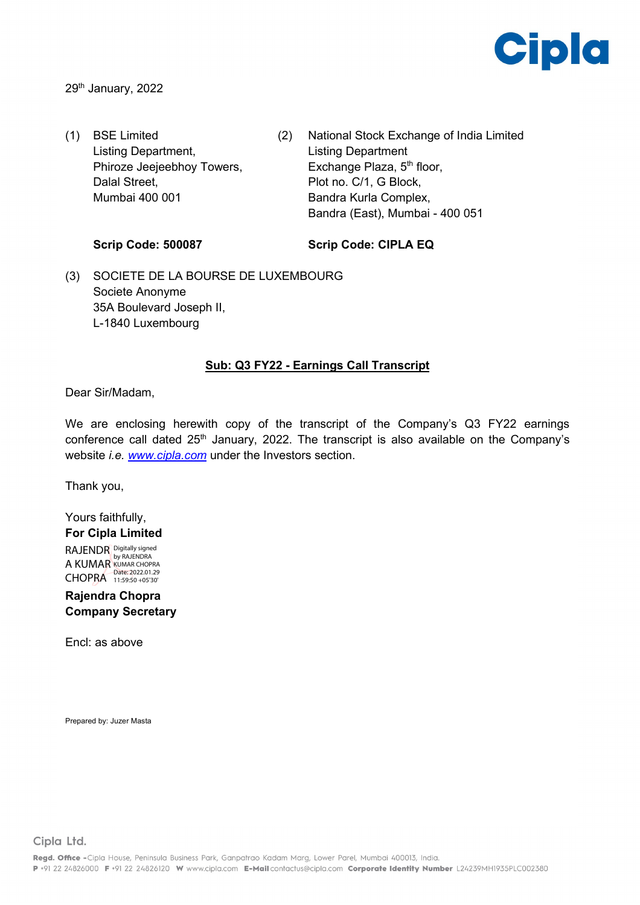

29<sup>th</sup> January, 2022

- (1) BSE Limited Listing Department, Phiroze Jeejeebhoy Towers, Dalal Street, Mumbai 400 001
- (2) National Stock Exchange of India Limited Listing Department Exchange Plaza, 5<sup>th</sup> floor, Plot no. C/1, G Block, Bandra Kurla Complex, Bandra (East), Mumbai - 400 051

### **Scrip Code: 500087**

### **Scrip Code: CIPLA EQ**

(3) SOCIETE DE LA BOURSE DE LUXEMBOURG Societe Anonyme 35A Boulevard Joseph II, L-1840 Luxembourg

### **Sub: Q3 FY22 - Earnings Call Transcript**

Dear Sir/Madam,

We are enclosing herewith copy of the transcript of the Company's Q3 FY22 earnings conference call dated 25<sup>th</sup> January, 2022. The transcript is also available on the Company's website *i.e. [www.cipla.com](http://www.cipla.com/)* under the Investors section.

Thank you,

### Yours faithfully, **For Cipla Limited**

RAJENDR Digitally signed A KUMAR KUMAR CHOPRA CHOPRA Date: 2022.01.29

**Rajendra Chopra Company Secretary**

Encl: as above

Prepared by: Juzer Masta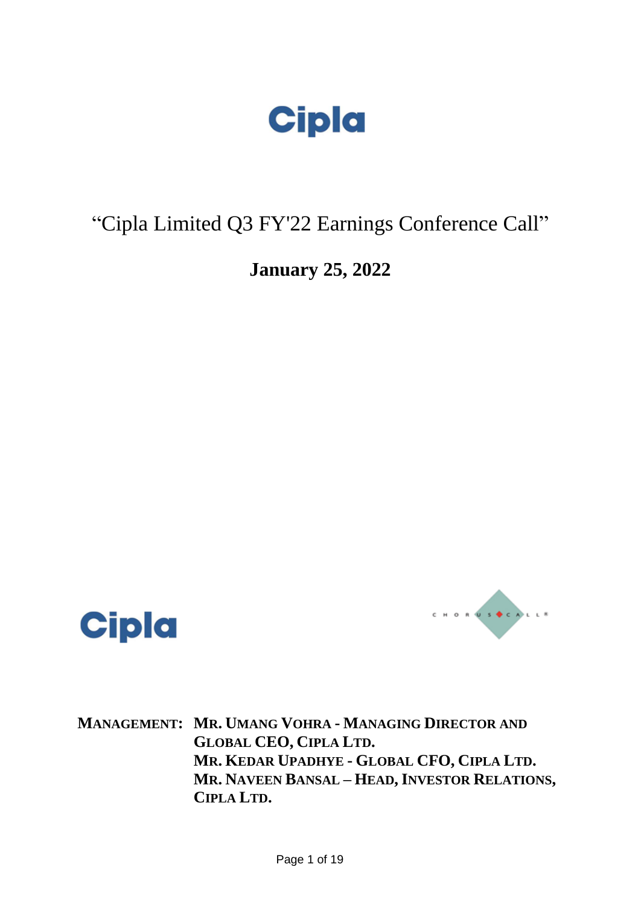

### "Cipla Limited Q3 FY'22 Earnings Conference Call"

**January 25, 2022**





**MANAGEMENT: MR. UMANG VOHRA - MANAGING DIRECTOR AND GLOBAL CEO, CIPLA LTD. MR. KEDAR UPADHYE - GLOBAL CFO, CIPLA LTD. MR. NAVEEN BANSAL – HEAD, INVESTOR RELATIONS, CIPLA LTD.**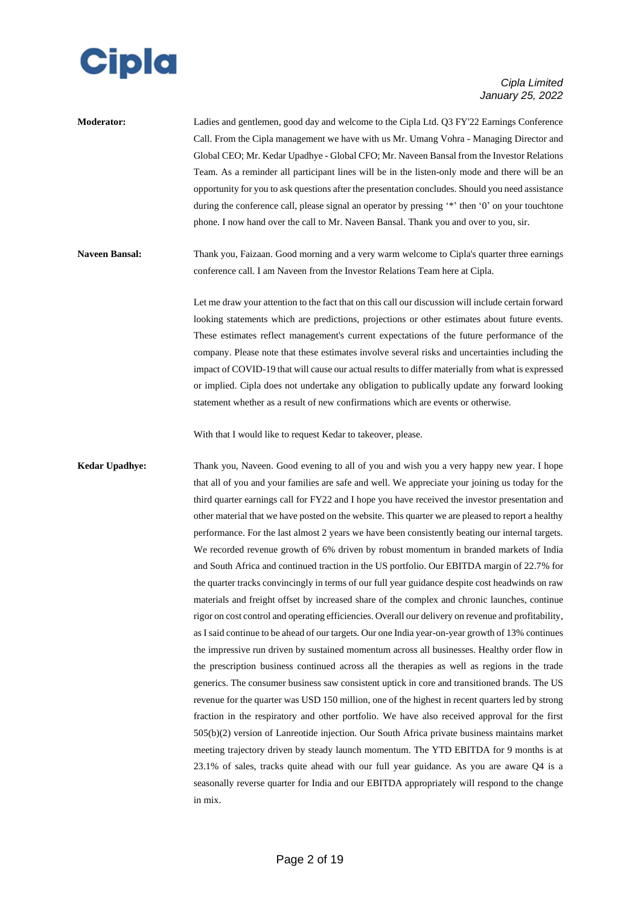

| <b>Moderator:</b> | Ladies and gentlemen, good day and welcome to the Cipla Ltd. Q3 FY'22 Earnings Conference         |
|-------------------|---------------------------------------------------------------------------------------------------|
|                   | Call. From the Cipla management we have with us Mr. Umang Vohra - Managing Director and           |
|                   | Global CEO; Mr. Kedar Upadhye - Global CFO; Mr. Naveen Bansal from the Investor Relations         |
|                   | Team. As a reminder all participant lines will be in the listen-only mode and there will be an    |
|                   | opportunity for you to ask questions after the presentation concludes. Should you need assistance |
|                   | during the conference call, please signal an operator by pressing "*" then '0' on your touchtone  |
|                   | phone. I now hand over the call to Mr. Naveen Bansal. Thank you and over to you, sir.             |
|                   |                                                                                                   |

**Naveen Bansal:** Thank you, Faizaan. Good morning and a very warm welcome to Cipla's quarter three earnings conference call. I am Naveen from the Investor Relations Team here at Cipla.

> Let me draw your attention to the fact that on this call our discussion will include certain forward looking statements which are predictions, projections or other estimates about future events. These estimates reflect management's current expectations of the future performance of the company. Please note that these estimates involve several risks and uncertainties including the impact of COVID-19 that will cause our actual results to differ materially from what is expressed or implied. Cipla does not undertake any obligation to publically update any forward looking statement whether as a result of new confirmations which are events or otherwise.

With that I would like to request Kedar to takeover, please.

**Kedar Upadhye:** Thank you, Naveen. Good evening to all of you and wish you a very happy new year. I hope that all of you and your families are safe and well. We appreciate your joining us today for the third quarter earnings call for FY22 and I hope you have received the investor presentation and other material that we have posted on the website. This quarter we are pleased to report a healthy performance. For the last almost 2 years we have been consistently beating our internal targets. We recorded revenue growth of 6% driven by robust momentum in branded markets of India and South Africa and continued traction in the US portfolio. Our EBITDA margin of 22.7% for the quarter tracks convincingly in terms of our full year guidance despite cost headwinds on raw materials and freight offset by increased share of the complex and chronic launches, continue rigor on cost control and operating efficiencies. Overall our delivery on revenue and profitability, as I said continue to be ahead of our targets. Our one India year-on-year growth of 13% continues the impressive run driven by sustained momentum across all businesses. Healthy order flow in the prescription business continued across all the therapies as well as regions in the trade generics. The consumer business saw consistent uptick in core and transitioned brands. The US revenue for the quarter was USD 150 million, one of the highest in recent quarters led by strong fraction in the respiratory and other portfolio. We have also received approval for the first 505(b)(2) version of Lanreotide injection. Our South Africa private business maintains market meeting trajectory driven by steady launch momentum. The YTD EBITDA for 9 months is at 23.1% of sales, tracks quite ahead with our full year guidance. As you are aware Q4 is a seasonally reverse quarter for India and our EBITDA appropriately will respond to the change in mix.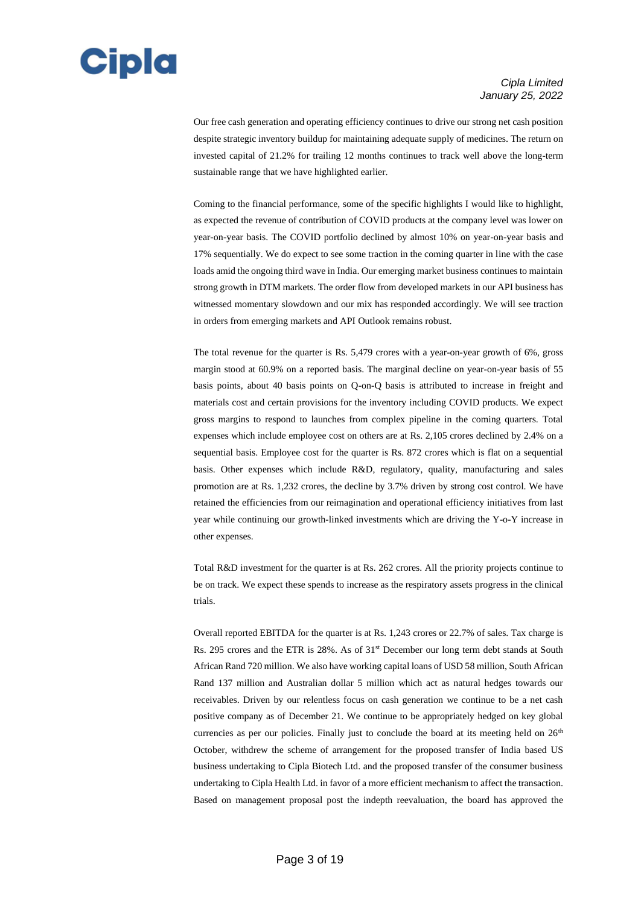

Our free cash generation and operating efficiency continues to drive our strong net cash position despite strategic inventory buildup for maintaining adequate supply of medicines. The return on invested capital of 21.2% for trailing 12 months continues to track well above the long-term sustainable range that we have highlighted earlier.

Coming to the financial performance, some of the specific highlights I would like to highlight, as expected the revenue of contribution of COVID products at the company level was lower on year-on-year basis. The COVID portfolio declined by almost 10% on year-on-year basis and 17% sequentially. We do expect to see some traction in the coming quarter in line with the case loads amid the ongoing third wave in India. Our emerging market business continues to maintain strong growth in DTM markets. The order flow from developed markets in our API business has witnessed momentary slowdown and our mix has responded accordingly. We will see traction in orders from emerging markets and API Outlook remains robust.

The total revenue for the quarter is Rs. 5,479 crores with a year-on-year growth of 6%, gross margin stood at 60.9% on a reported basis. The marginal decline on year-on-year basis of 55 basis points, about 40 basis points on Q-on-Q basis is attributed to increase in freight and materials cost and certain provisions for the inventory including COVID products. We expect gross margins to respond to launches from complex pipeline in the coming quarters. Total expenses which include employee cost on others are at Rs. 2,105 crores declined by 2.4% on a sequential basis. Employee cost for the quarter is Rs. 872 crores which is flat on a sequential basis. Other expenses which include R&D, regulatory, quality, manufacturing and sales promotion are at Rs. 1,232 crores, the decline by 3.7% driven by strong cost control. We have retained the efficiencies from our reimagination and operational efficiency initiatives from last year while continuing our growth-linked investments which are driving the Y-o-Y increase in other expenses.

Total R&D investment for the quarter is at Rs. 262 crores. All the priority projects continue to be on track. We expect these spends to increase as the respiratory assets progress in the clinical trials.

Overall reported EBITDA for the quarter is at Rs. 1,243 crores or 22.7% of sales. Tax charge is Rs. 295 crores and the ETR is 28%. As of 31st December our long term debt stands at South African Rand 720 million. We also have working capital loans of USD 58 million, South African Rand 137 million and Australian dollar 5 million which act as natural hedges towards our receivables. Driven by our relentless focus on cash generation we continue to be a net cash positive company as of December 21. We continue to be appropriately hedged on key global currencies as per our policies. Finally just to conclude the board at its meeting held on 26<sup>th</sup> October, withdrew the scheme of arrangement for the proposed transfer of India based US business undertaking to Cipla Biotech Ltd. and the proposed transfer of the consumer business undertaking to Cipla Health Ltd. in favor of a more efficient mechanism to affect the transaction. Based on management proposal post the indepth reevaluation, the board has approved the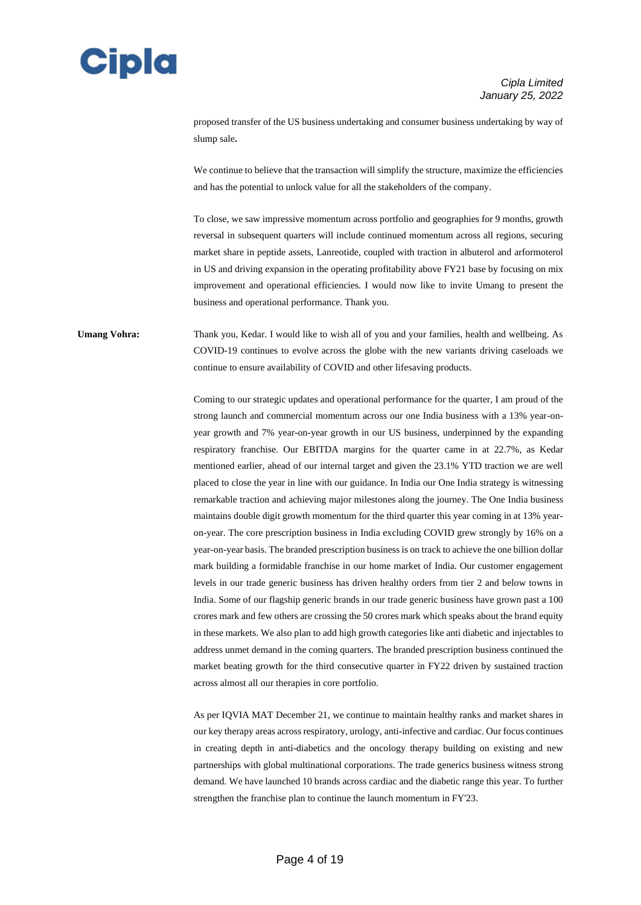

proposed transfer of the US business undertaking and consumer business undertaking by way of slump sale**.**

We continue to believe that the transaction will simplify the structure, maximize the efficiencies and has the potential to unlock value for all the stakeholders of the company.

To close, we saw impressive momentum across portfolio and geographies for 9 months, growth reversal in subsequent quarters will include continued momentum across all regions, securing market share in peptide assets, Lanreotide, coupled with traction in albuterol and arformoterol in US and driving expansion in the operating profitability above FY21 base by focusing on mix improvement and operational efficiencies. I would now like to invite Umang to present the business and operational performance. Thank you.

### **Umang Vohra:** Thank you, Kedar. I would like to wish all of you and your families, health and wellbeing. As COVID-19 continues to evolve across the globe with the new variants driving caseloads we continue to ensure availability of COVID and other lifesaving products.

Coming to our strategic updates and operational performance for the quarter, I am proud of the strong launch and commercial momentum across our one India business with a 13% year-onyear growth and 7% year-on-year growth in our US business, underpinned by the expanding respiratory franchise. Our EBITDA margins for the quarter came in at 22.7%, as Kedar mentioned earlier, ahead of our internal target and given the 23.1% YTD traction we are well placed to close the year in line with our guidance. In India our One India strategy is witnessing remarkable traction and achieving major milestones along the journey. The One India business maintains double digit growth momentum for the third quarter this year coming in at 13% yearon-year. The core prescription business in India excluding COVID grew strongly by 16% on a year-on-year basis. The branded prescription business is on track to achieve the one billion dollar mark building a formidable franchise in our home market of India. Our customer engagement levels in our trade generic business has driven healthy orders from tier 2 and below towns in India. Some of our flagship generic brands in our trade generic business have grown past a 100 crores mark and few others are crossing the 50 crores mark which speaks about the brand equity in these markets. We also plan to add high growth categories like anti diabetic and injectables to address unmet demand in the coming quarters. The branded prescription business continued the market beating growth for the third consecutive quarter in FY22 driven by sustained traction across almost all our therapies in core portfolio.

As per IQVIA MAT December 21, we continue to maintain healthy ranks and market shares in our key therapy areas across respiratory, urology, anti-infective and cardiac. Our focus continues in creating depth in anti-diabetics and the oncology therapy building on existing and new partnerships with global multinational corporations. The trade generics business witness strong demand. We have launched 10 brands across cardiac and the diabetic range this year. To further strengthen the franchise plan to continue the launch momentum in FY'23.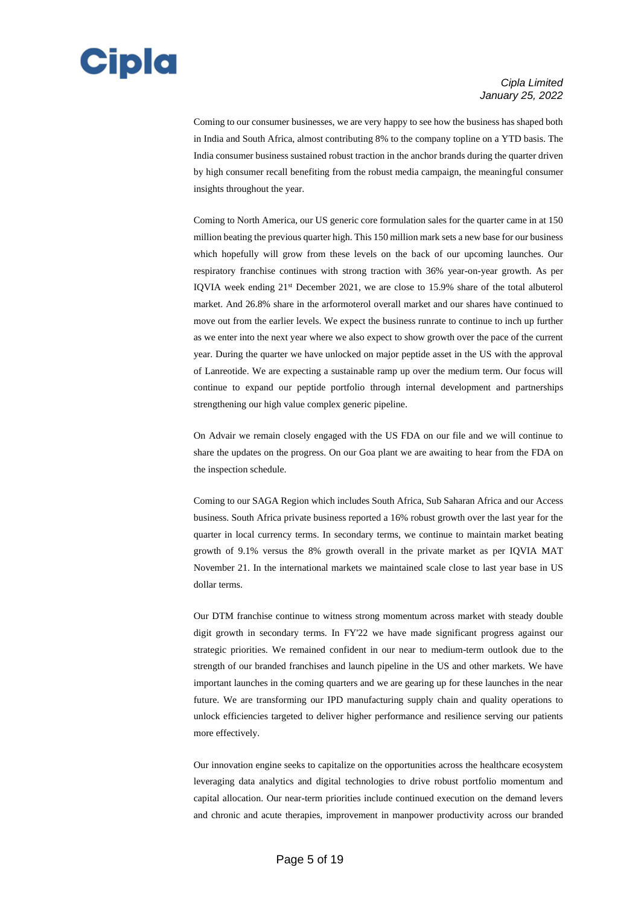

Coming to our consumer businesses, we are very happy to see how the business has shaped both in India and South Africa, almost contributing 8% to the company topline on a YTD basis. The India consumer business sustained robust traction in the anchor brands during the quarter driven by high consumer recall benefiting from the robust media campaign, the meaningful consumer insights throughout the year.

Coming to North America, our US generic core formulation sales for the quarter came in at 150 million beating the previous quarter high. This 150 million mark sets a new base for our business which hopefully will grow from these levels on the back of our upcoming launches. Our respiratory franchise continues with strong traction with 36% year-on-year growth. As per IQVIA week ending 21st December 2021, we are close to 15.9% share of the total albuterol market. And 26.8% share in the arformoterol overall market and our shares have continued to move out from the earlier levels. We expect the business runrate to continue to inch up further as we enter into the next year where we also expect to show growth over the pace of the current year. During the quarter we have unlocked on major peptide asset in the US with the approval of Lanreotide. We are expecting a sustainable ramp up over the medium term. Our focus will continue to expand our peptide portfolio through internal development and partnerships strengthening our high value complex generic pipeline.

On Advair we remain closely engaged with the US FDA on our file and we will continue to share the updates on the progress. On our Goa plant we are awaiting to hear from the FDA on the inspection schedule.

Coming to our SAGA Region which includes South Africa, Sub Saharan Africa and our Access business. South Africa private business reported a 16% robust growth over the last year for the quarter in local currency terms. In secondary terms, we continue to maintain market beating growth of 9.1% versus the 8% growth overall in the private market as per IQVIA MAT November 21. In the international markets we maintained scale close to last year base in US dollar terms.

Our DTM franchise continue to witness strong momentum across market with steady double digit growth in secondary terms. In FY'22 we have made significant progress against our strategic priorities. We remained confident in our near to medium-term outlook due to the strength of our branded franchises and launch pipeline in the US and other markets. We have important launches in the coming quarters and we are gearing up for these launches in the near future. We are transforming our IPD manufacturing supply chain and quality operations to unlock efficiencies targeted to deliver higher performance and resilience serving our patients more effectively.

Our innovation engine seeks to capitalize on the opportunities across the healthcare ecosystem leveraging data analytics and digital technologies to drive robust portfolio momentum and capital allocation. Our near-term priorities include continued execution on the demand levers and chronic and acute therapies, improvement in manpower productivity across our branded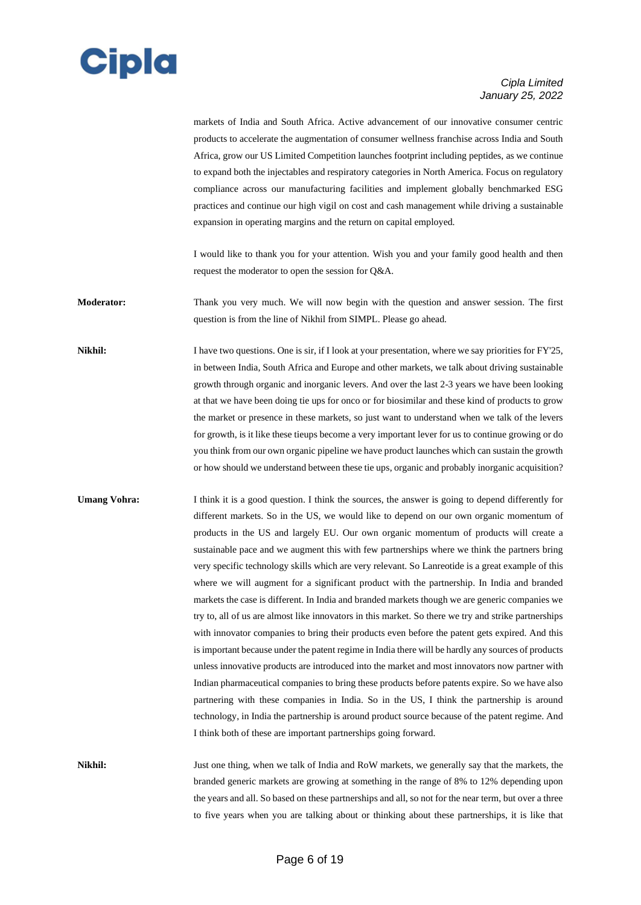

markets of India and South Africa. Active advancement of our innovative consumer centric products to accelerate the augmentation of consumer wellness franchise across India and South Africa, grow our US Limited Competition launches footprint including peptides, as we continue to expand both the injectables and respiratory categories in North America. Focus on regulatory compliance across our manufacturing facilities and implement globally benchmarked ESG practices and continue our high vigil on cost and cash management while driving a sustainable expansion in operating margins and the return on capital employed.

I would like to thank you for your attention. Wish you and your family good health and then request the moderator to open the session for Q&A.

**Moderator:** Thank you very much. We will now begin with the question and answer session. The first question is from the line of Nikhil from SIMPL. Please go ahead.

**Nikhil:** I have two questions. One is sir, if I look at your presentation, where we say priorities for FY'25, in between India, South Africa and Europe and other markets, we talk about driving sustainable growth through organic and inorganic levers. And over the last 2-3 years we have been looking at that we have been doing tie ups for onco or for biosimilar and these kind of products to grow the market or presence in these markets, so just want to understand when we talk of the levers for growth, is it like these tieups become a very important lever for us to continue growing or do you think from our own organic pipeline we have product launches which can sustain the growth or how should we understand between these tie ups, organic and probably inorganic acquisition?

**Umang Vohra:** I think it is a good question. I think the sources, the answer is going to depend differently for different markets. So in the US, we would like to depend on our own organic momentum of products in the US and largely EU. Our own organic momentum of products will create a sustainable pace and we augment this with few partnerships where we think the partners bring very specific technology skills which are very relevant. So Lanreotide is a great example of this where we will augment for a significant product with the partnership. In India and branded markets the case is different. In India and branded markets though we are generic companies we try to, all of us are almost like innovators in this market. So there we try and strike partnerships with innovator companies to bring their products even before the patent gets expired. And this is important because under the patent regime in India there will be hardly any sources of products unless innovative products are introduced into the market and most innovators now partner with Indian pharmaceutical companies to bring these products before patents expire. So we have also partnering with these companies in India. So in the US, I think the partnership is around technology, in India the partnership is around product source because of the patent regime. And I think both of these are important partnerships going forward.

**Nikhil:** Just one thing, when we talk of India and RoW markets, we generally say that the markets, the branded generic markets are growing at something in the range of 8% to 12% depending upon the years and all. So based on these partnerships and all, so not for the near term, but over a three to five years when you are talking about or thinking about these partnerships, it is like that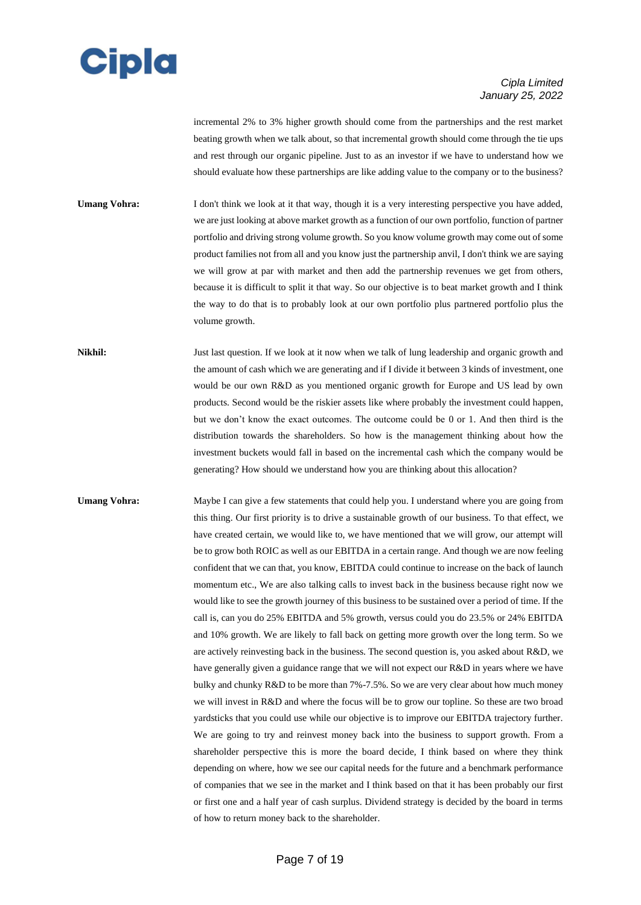# **Cipla**

### *Cipla Limited January 25, 2022*

incremental 2% to 3% higher growth should come from the partnerships and the rest market beating growth when we talk about, so that incremental growth should come through the tie ups and rest through our organic pipeline. Just to as an investor if we have to understand how we should evaluate how these partnerships are like adding value to the company or to the business?

**Umang Vohra:** I don't think we look at it that way, though it is a very interesting perspective you have added, we are just looking at above market growth as a function of our own portfolio, function of partner portfolio and driving strong volume growth. So you know volume growth may come out of some product families not from all and you know just the partnership anvil, I don't think we are saying we will grow at par with market and then add the partnership revenues we get from others, because it is difficult to split it that way. So our objective is to beat market growth and I think the way to do that is to probably look at our own portfolio plus partnered portfolio plus the volume growth.

**Nikhil:** Just last question. If we look at it now when we talk of lung leadership and organic growth and the amount of cash which we are generating and if I divide it between 3 kinds of investment, one would be our own R&D as you mentioned organic growth for Europe and US lead by own products. Second would be the riskier assets like where probably the investment could happen, but we don't know the exact outcomes. The outcome could be 0 or 1. And then third is the distribution towards the shareholders. So how is the management thinking about how the investment buckets would fall in based on the incremental cash which the company would be generating? How should we understand how you are thinking about this allocation?

**Umang Vohra:** Maybe I can give a few statements that could help you. I understand where you are going from this thing. Our first priority is to drive a sustainable growth of our business. To that effect, we have created certain, we would like to, we have mentioned that we will grow, our attempt will be to grow both ROIC as well as our EBITDA in a certain range. And though we are now feeling confident that we can that, you know, EBITDA could continue to increase on the back of launch momentum etc., We are also talking calls to invest back in the business because right now we would like to see the growth journey of this business to be sustained over a period of time. If the call is, can you do 25% EBITDA and 5% growth, versus could you do 23.5% or 24% EBITDA and 10% growth. We are likely to fall back on getting more growth over the long term. So we are actively reinvesting back in the business. The second question is, you asked about R&D, we have generally given a guidance range that we will not expect our R&D in years where we have bulky and chunky R&D to be more than 7%-7.5%. So we are very clear about how much money we will invest in R&D and where the focus will be to grow our topline. So these are two broad yardsticks that you could use while our objective is to improve our EBITDA trajectory further. We are going to try and reinvest money back into the business to support growth. From a shareholder perspective this is more the board decide, I think based on where they think depending on where, how we see our capital needs for the future and a benchmark performance of companies that we see in the market and I think based on that it has been probably our first or first one and a half year of cash surplus. Dividend strategy is decided by the board in terms of how to return money back to the shareholder.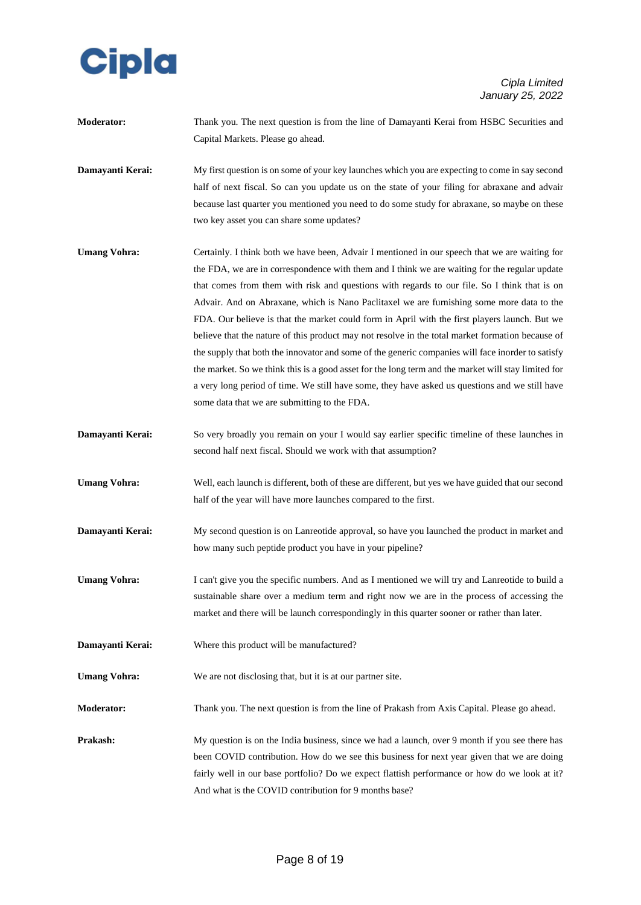

**Moderator:** Thank you. The next question is from the line of Damayanti Kerai from HSBC Securities and Capital Markets. Please go ahead.

**Damayanti Kerai:** My first question is on some of your key launches which you are expecting to come in say second half of next fiscal. So can you update us on the state of your filing for abraxane and advair because last quarter you mentioned you need to do some study for abraxane, so maybe on these two key asset you can share some updates?

- **Umang Vohra:** Certainly. I think both we have been, Advair I mentioned in our speech that we are waiting for the FDA, we are in correspondence with them and I think we are waiting for the regular update that comes from them with risk and questions with regards to our file. So I think that is on Advair. And on Abraxane, which is Nano Paclitaxel we are furnishing some more data to the FDA. Our believe is that the market could form in April with the first players launch. But we believe that the nature of this product may not resolve in the total market formation because of the supply that both the innovator and some of the generic companies will face inorder to satisfy the market. So we think this is a good asset for the long term and the market will stay limited for a very long period of time. We still have some, they have asked us questions and we still have some data that we are submitting to the FDA.
- **Damayanti Kerai:** So very broadly you remain on your I would say earlier specific timeline of these launches in second half next fiscal. Should we work with that assumption?
- **Umang Vohra:** Well, each launch is different, both of these are different, but yes we have guided that our second half of the year will have more launches compared to the first.
- **Damayanti Kerai:** My second question is on Lanreotide approval, so have you launched the product in market and how many such peptide product you have in your pipeline?
- **Umang Vohra:** I can't give you the specific numbers. And as I mentioned we will try and Lanreotide to build a sustainable share over a medium term and right now we are in the process of accessing the market and there will be launch correspondingly in this quarter sooner or rather than later.
- **Damayanti Kerai:** Where this product will be manufactured?
- Umang Vohra: We are not disclosing that, but it is at our partner site.
- **Moderator:** Thank you. The next question is from the line of Prakash from Axis Capital. Please go ahead.
- **Prakash:** My question is on the India business, since we had a launch, over 9 month if you see there has been COVID contribution. How do we see this business for next year given that we are doing fairly well in our base portfolio? Do we expect flattish performance or how do we look at it? And what is the COVID contribution for 9 months base?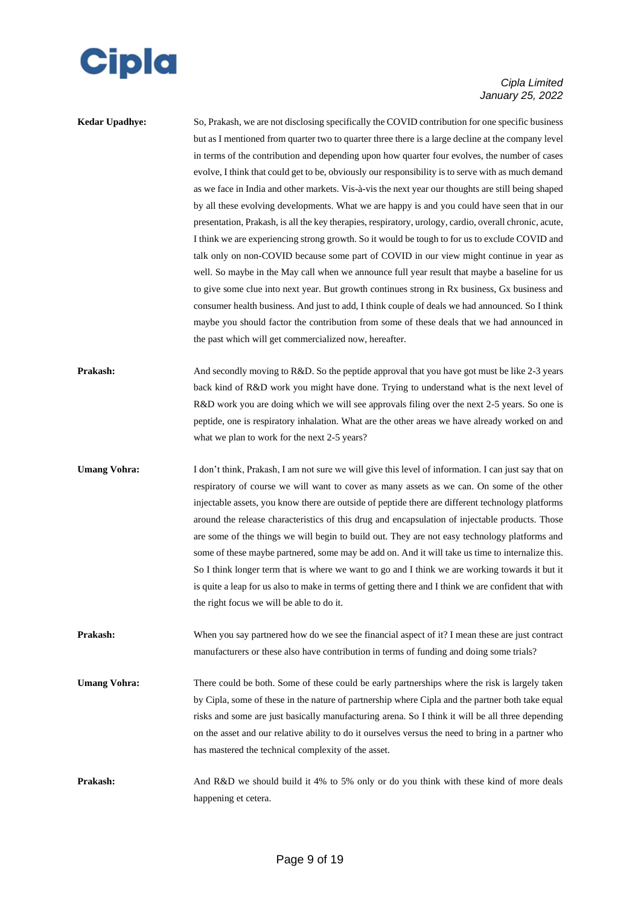

| Kedar Upadhye:      | So, Prakash, we are not disclosing specifically the COVID contribution for one specific business<br>but as I mentioned from quarter two to quarter three there is a large decline at the company level<br>in terms of the contribution and depending upon how quarter four evolves, the number of cases<br>evolve, I think that could get to be, obviously our responsibility is to serve with as much demand<br>as we face in India and other markets. Vis-à-vis the next year our thoughts are still being shaped<br>by all these evolving developments. What we are happy is and you could have seen that in our<br>presentation, Prakash, is all the key therapies, respiratory, urology, cardio, overall chronic, acute,<br>I think we are experiencing strong growth. So it would be tough to for us to exclude COVID and<br>talk only on non-COVID because some part of COVID in our view might continue in year as<br>well. So maybe in the May call when we announce full year result that maybe a baseline for us<br>to give some clue into next year. But growth continues strong in Rx business, Gx business and<br>consumer health business. And just to add, I think couple of deals we had announced. So I think<br>maybe you should factor the contribution from some of these deals that we had announced in<br>the past which will get commercialized now, hereafter. |
|---------------------|-----------------------------------------------------------------------------------------------------------------------------------------------------------------------------------------------------------------------------------------------------------------------------------------------------------------------------------------------------------------------------------------------------------------------------------------------------------------------------------------------------------------------------------------------------------------------------------------------------------------------------------------------------------------------------------------------------------------------------------------------------------------------------------------------------------------------------------------------------------------------------------------------------------------------------------------------------------------------------------------------------------------------------------------------------------------------------------------------------------------------------------------------------------------------------------------------------------------------------------------------------------------------------------------------------------------------------------------------------------------------------------------|
| Prakash:            | And secondly moving to R&D. So the peptide approval that you have got must be like 2-3 years<br>back kind of R&D work you might have done. Trying to understand what is the next level of<br>R&D work you are doing which we will see approvals filing over the next 2-5 years. So one is<br>peptide, one is respiratory inhalation. What are the other areas we have already worked on and<br>what we plan to work for the next 2-5 years?                                                                                                                                                                                                                                                                                                                                                                                                                                                                                                                                                                                                                                                                                                                                                                                                                                                                                                                                             |
| <b>Umang Vohra:</b> | I don't think, Prakash, I am not sure we will give this level of information. I can just say that on<br>respiratory of course we will want to cover as many assets as we can. On some of the other<br>injectable assets, you know there are outside of peptide there are different technology platforms<br>around the release characteristics of this drug and encapsulation of injectable products. Those<br>are some of the things we will begin to build out. They are not easy technology platforms and<br>some of these maybe partnered, some may be add on. And it will take us time to internalize this.<br>So I think longer term that is where we want to go and I think we are working towards it but it<br>is quite a leap for us also to make in terms of getting there and I think we are confident that with<br>the right focus we will be able to do it.                                                                                                                                                                                                                                                                                                                                                                                                                                                                                                                 |
| Prakash:            | When you say partnered how do we see the financial aspect of it? I mean these are just contract<br>manufacturers or these also have contribution in terms of funding and doing some trials?                                                                                                                                                                                                                                                                                                                                                                                                                                                                                                                                                                                                                                                                                                                                                                                                                                                                                                                                                                                                                                                                                                                                                                                             |
| <b>Umang Vohra:</b> | There could be both. Some of these could be early partnerships where the risk is largely taken<br>by Cipla, some of these in the nature of partnership where Cipla and the partner both take equal<br>risks and some are just basically manufacturing arena. So I think it will be all three depending<br>on the asset and our relative ability to do it ourselves versus the need to bring in a partner who<br>has mastered the technical complexity of the asset.                                                                                                                                                                                                                                                                                                                                                                                                                                                                                                                                                                                                                                                                                                                                                                                                                                                                                                                     |
| Prakash:            | And R&D we should build it 4% to 5% only or do you think with these kind of more deals<br>happening et cetera.                                                                                                                                                                                                                                                                                                                                                                                                                                                                                                                                                                                                                                                                                                                                                                                                                                                                                                                                                                                                                                                                                                                                                                                                                                                                          |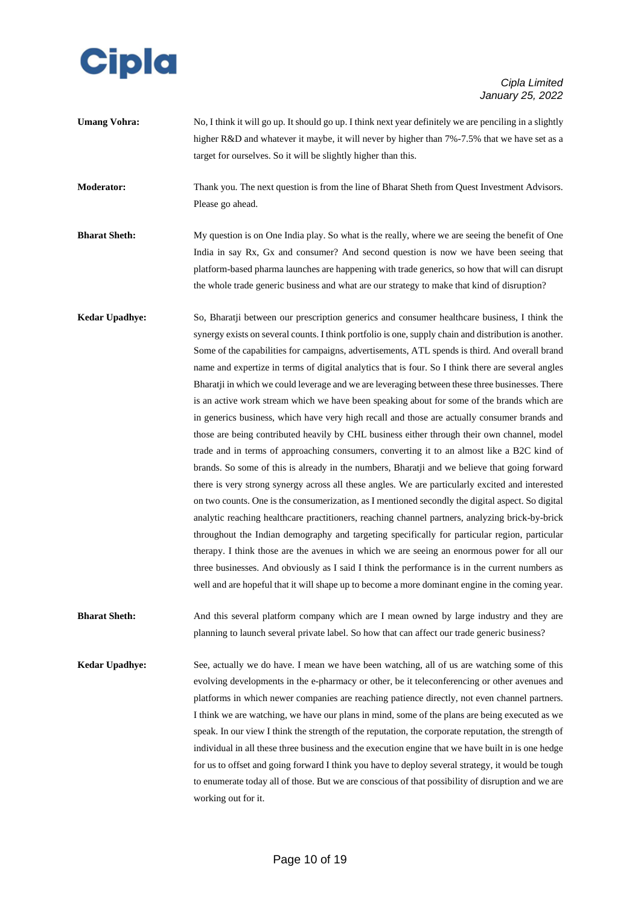

**Umang Vohra:** No, I think it will go up. It should go up. I think next year definitely we are penciling in a slightly higher R&D and whatever it maybe, it will never by higher than 7%-7.5% that we have set as a target for ourselves. So it will be slightly higher than this.

**Moderator:** Thank you. The next question is from the line of Bharat Sheth from Quest Investment Advisors. Please go ahead.

- **Bharat Sheth:** My question is on One India play. So what is the really, where we are seeing the benefit of One India in say Rx, Gx and consumer? And second question is now we have been seeing that platform-based pharma launches are happening with trade generics, so how that will can disrupt the whole trade generic business and what are our strategy to make that kind of disruption?
- **Kedar Upadhye:** So, Bharatji between our prescription generics and consumer healthcare business, I think the synergy exists on several counts. I think portfolio is one, supply chain and distribution is another. Some of the capabilities for campaigns, advertisements, ATL spends is third. And overall brand name and expertize in terms of digital analytics that is four. So I think there are several angles Bharatji in which we could leverage and we are leveraging between these three businesses. There is an active work stream which we have been speaking about for some of the brands which are in generics business, which have very high recall and those are actually consumer brands and those are being contributed heavily by CHL business either through their own channel, model trade and in terms of approaching consumers, converting it to an almost like a B2C kind of brands. So some of this is already in the numbers, Bharatji and we believe that going forward there is very strong synergy across all these angles. We are particularly excited and interested on two counts. One is the consumerization, as I mentioned secondly the digital aspect. So digital analytic reaching healthcare practitioners, reaching channel partners, analyzing brick-by-brick throughout the Indian demography and targeting specifically for particular region, particular therapy. I think those are the avenues in which we are seeing an enormous power for all our three businesses. And obviously as I said I think the performance is in the current numbers as well and are hopeful that it will shape up to become a more dominant engine in the coming year.

Bharat Sheth: And this several platform company which are I mean owned by large industry and they are planning to launch several private label. So how that can affect our trade generic business?

**Kedar Upadhye:** See, actually we do have. I mean we have been watching, all of us are watching some of this evolving developments in the e-pharmacy or other, be it teleconferencing or other avenues and platforms in which newer companies are reaching patience directly, not even channel partners. I think we are watching, we have our plans in mind, some of the plans are being executed as we speak. In our view I think the strength of the reputation, the corporate reputation, the strength of individual in all these three business and the execution engine that we have built in is one hedge for us to offset and going forward I think you have to deploy several strategy, it would be tough to enumerate today all of those. But we are conscious of that possibility of disruption and we are working out for it.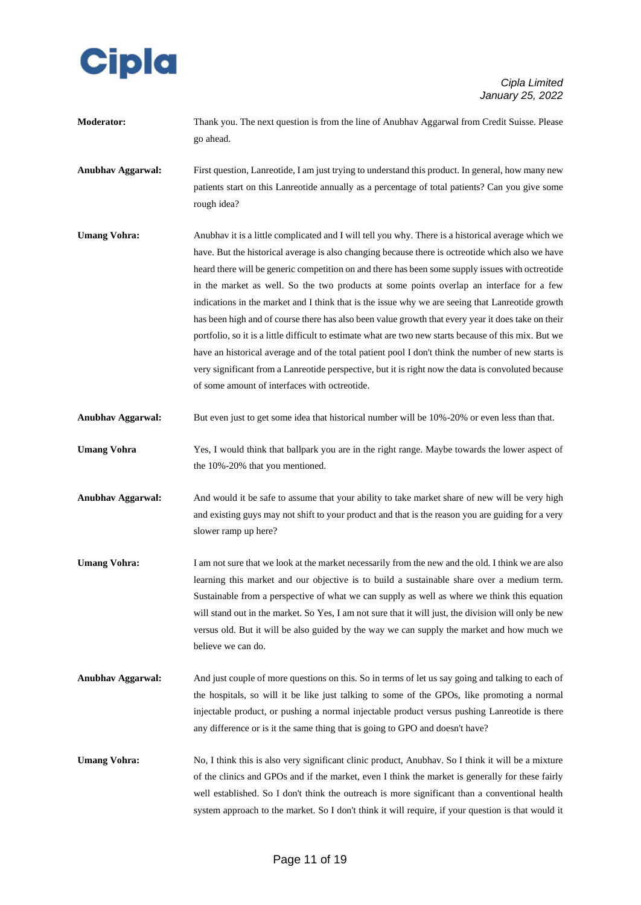

**Moderator:** Thank you. The next question is from the line of Anubhav Aggarwal from Credit Suisse. Please go ahead.

**Anubhav Aggarwal:** First question, Lanreotide, I am just trying to understand this product. In general, how many new patients start on this Lanreotide annually as a percentage of total patients? Can you give some rough idea?

- **Umang Vohra:** Anubhav it is a little complicated and I will tell you why. There is a historical average which we have. But the historical average is also changing because there is octreotide which also we have heard there will be generic competition on and there has been some supply issues with octreotide in the market as well. So the two products at some points overlap an interface for a few indications in the market and I think that is the issue why we are seeing that Lanreotide growth has been high and of course there has also been value growth that every year it does take on their portfolio, so it is a little difficult to estimate what are two new starts because of this mix. But we have an historical average and of the total patient pool I don't think the number of new starts is very significant from a Lanreotide perspective, but it is right now the data is convoluted because of some amount of interfaces with octreotide.
- **Anubhav Aggarwal:** But even just to get some idea that historical number will be 10%-20% or even less than that.
- **Umang Vohra** Yes, I would think that ballpark you are in the right range. Maybe towards the lower aspect of the 10%-20% that you mentioned.
- **Anubhav Aggarwal:** And would it be safe to assume that your ability to take market share of new will be very high and existing guys may not shift to your product and that is the reason you are guiding for a very slower ramp up here?
- **Umang Vohra:** I am not sure that we look at the market necessarily from the new and the old. I think we are also learning this market and our objective is to build a sustainable share over a medium term. Sustainable from a perspective of what we can supply as well as where we think this equation will stand out in the market. So Yes, I am not sure that it will just, the division will only be new versus old. But it will be also guided by the way we can supply the market and how much we believe we can do.
- **Anubhav Aggarwal:** And just couple of more questions on this. So in terms of let us say going and talking to each of the hospitals, so will it be like just talking to some of the GPOs, like promoting a normal injectable product, or pushing a normal injectable product versus pushing Lanreotide is there any difference or is it the same thing that is going to GPO and doesn't have?
- **Umang Vohra:** No, I think this is also very significant clinic product, Anubhav. So I think it will be a mixture of the clinics and GPOs and if the market, even I think the market is generally for these fairly well established. So I don't think the outreach is more significant than a conventional health system approach to the market. So I don't think it will require, if your question is that would it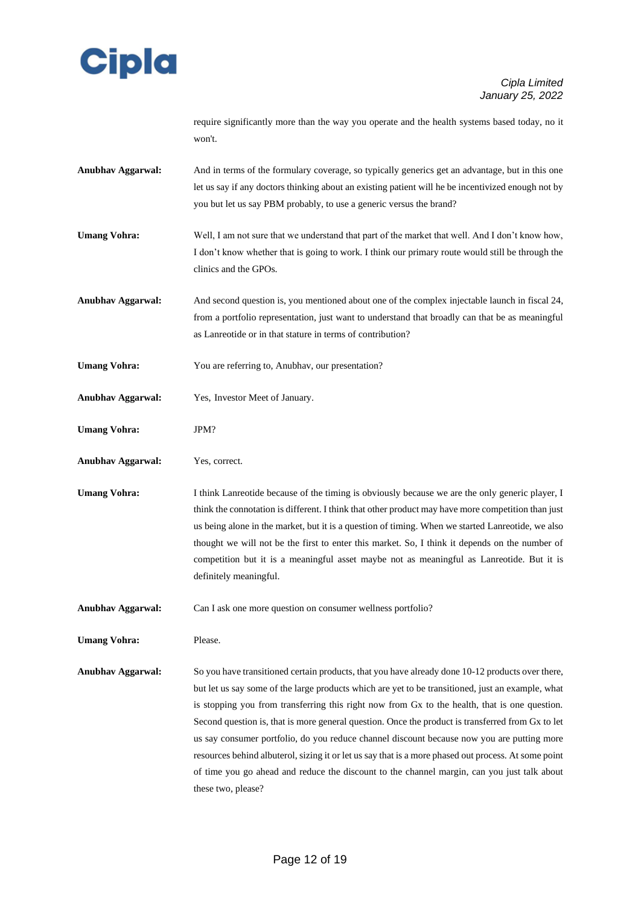

require significantly more than the way you operate and the health systems based today, no it won't.

- **Anubhav Aggarwal:** And in terms of the formulary coverage, so typically generics get an advantage, but in this one let us say if any doctors thinking about an existing patient will he be incentivized enough not by you but let us say PBM probably, to use a generic versus the brand?
- **Umang Vohra:** Well, I am not sure that we understand that part of the market that well. And I don't know how, I don't know whether that is going to work. I think our primary route would still be through the clinics and the GPOs.
- **Anubhav Aggarwal:** And second question is, you mentioned about one of the complex injectable launch in fiscal 24, from a portfolio representation, just want to understand that broadly can that be as meaningful as Lanreotide or in that stature in terms of contribution?
- **Umang Vohra:** You are referring to, Anubhav, our presentation?
- **Anubhav Aggarwal:** Yes, Investor Meet of January.
- **Umang Vohra:** JPM?
- **Anubhav Aggarwal:** Yes, correct.
- **Umang Vohra:** I think Lanreotide because of the timing is obviously because we are the only generic player, I think the connotation is different. I think that other product may have more competition than just us being alone in the market, but it is a question of timing. When we started Lanreotide, we also thought we will not be the first to enter this market. So, I think it depends on the number of competition but it is a meaningful asset maybe not as meaningful as Lanreotide. But it is definitely meaningful.
- **Anubhav Aggarwal:** Can I ask one more question on consumer wellness portfolio?
- Umang Vohra: Please.

**Anubhav Aggarwal:** So you have transitioned certain products, that you have already done 10-12 products over there, but let us say some of the large products which are yet to be transitioned, just an example, what is stopping you from transferring this right now from Gx to the health, that is one question. Second question is, that is more general question. Once the product is transferred from Gx to let us say consumer portfolio, do you reduce channel discount because now you are putting more resources behind albuterol, sizing it or let us say that is a more phased out process. At some point of time you go ahead and reduce the discount to the channel margin, can you just talk about these two, please?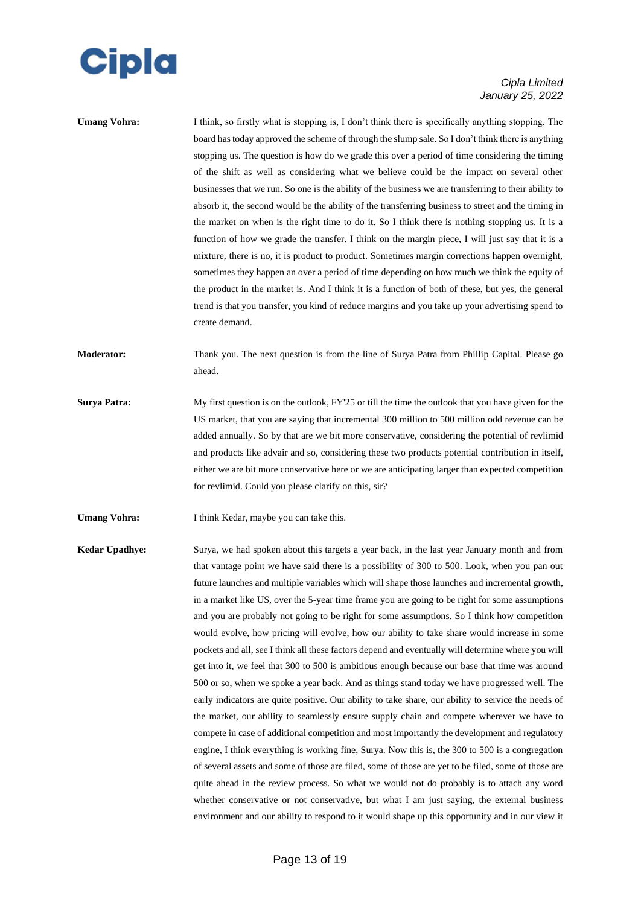

| Umang Vohra: | I think, so firstly what is stopping is, I don't think there is specifically anything stopping. The   |
|--------------|-------------------------------------------------------------------------------------------------------|
|              | board has today approved the scheme of through the slump sale. So I don't think there is anything     |
|              | stopping us. The question is how do we grade this over a period of time considering the timing        |
|              | of the shift as well as considering what we believe could be the impact on several other              |
|              | businesses that we run. So one is the ability of the business we are transferring to their ability to |
|              | absorb it, the second would be the ability of the transferring business to street and the timing in   |
|              | the market on when is the right time to do it. So I think there is nothing stopping us. It is a       |
|              | function of how we grade the transfer. I think on the margin piece, I will just say that it is a      |
|              | mixture, there is no, it is product to product. Sometimes margin corrections happen overnight,        |
|              | sometimes they happen an over a period of time depending on how much we think the equity of           |
|              | the product in the market is. And I think it is a function of both of these, but yes, the general     |
|              | trend is that you transfer, you kind of reduce margins and you take up your advertising spend to      |
|              | create demand.                                                                                        |
|              |                                                                                                       |

**Moderator:** Thank you. The next question is from the line of Surya Patra from Phillip Capital. Please go ahead.

- **Surya Patra:** My first question is on the outlook, FY'25 or till the time the outlook that you have given for the US market, that you are saying that incremental 300 million to 500 million odd revenue can be added annually. So by that are we bit more conservative, considering the potential of revlimid and products like advair and so, considering these two products potential contribution in itself, either we are bit more conservative here or we are anticipating larger than expected competition for revlimid. Could you please clarify on this, sir?
- **Umang Vohra:** I think Kedar, maybe you can take this.

**Kedar Upadhye:** Surya, we had spoken about this targets a year back, in the last year January month and from that vantage point we have said there is a possibility of 300 to 500. Look, when you pan out future launches and multiple variables which will shape those launches and incremental growth, in a market like US, over the 5-year time frame you are going to be right for some assumptions and you are probably not going to be right for some assumptions. So I think how competition would evolve, how pricing will evolve, how our ability to take share would increase in some pockets and all, see I think all these factors depend and eventually will determine where you will get into it, we feel that 300 to 500 is ambitious enough because our base that time was around 500 or so, when we spoke a year back. And as things stand today we have progressed well. The early indicators are quite positive. Our ability to take share, our ability to service the needs of the market, our ability to seamlessly ensure supply chain and compete wherever we have to compete in case of additional competition and most importantly the development and regulatory engine, I think everything is working fine, Surya. Now this is, the 300 to 500 is a congregation of several assets and some of those are filed, some of those are yet to be filed, some of those are quite ahead in the review process. So what we would not do probably is to attach any word whether conservative or not conservative, but what I am just saying, the external business environment and our ability to respond to it would shape up this opportunity and in our view it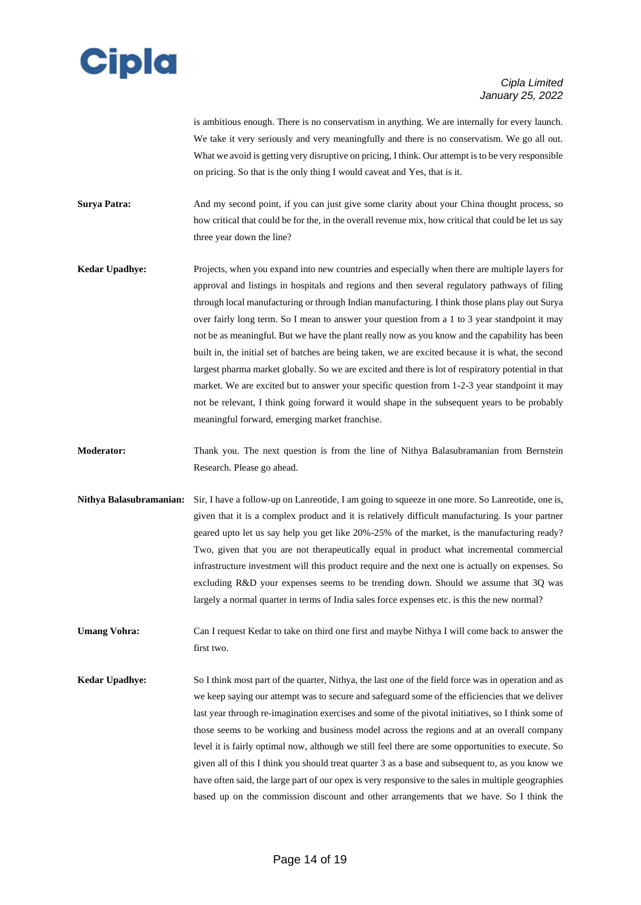

is ambitious enough. There is no conservatism in anything. We are internally for every launch. We take it very seriously and very meaningfully and there is no conservatism. We go all out. What we avoid is getting very disruptive on pricing, I think. Our attempt is to be very responsible on pricing. So that is the only thing I would caveat and Yes, that is it.

**Surya Patra:** And my second point, if you can just give some clarity about your China thought process, so how critical that could be for the, in the overall revenue mix, how critical that could be let us say three year down the line?

- **Kedar Upadhye:** Projects, when you expand into new countries and especially when there are multiple layers for approval and listings in hospitals and regions and then several regulatory pathways of filing through local manufacturing or through Indian manufacturing. I think those plans play out Surya over fairly long term. So I mean to answer your question from a 1 to 3 year standpoint it may not be as meaningful. But we have the plant really now as you know and the capability has been built in, the initial set of batches are being taken, we are excited because it is what, the second largest pharma market globally. So we are excited and there is lot of respiratory potential in that market. We are excited but to answer your specific question from 1-2-3 year standpoint it may not be relevant, I think going forward it would shape in the subsequent years to be probably meaningful forward, emerging market franchise.
- **Moderator:** Thank you. The next question is from the line of Nithya Balasubramanian from Bernstein Research. Please go ahead.
- **Nithya Balasubramanian:** Sir, I have a follow-up on Lanreotide, I am going to squeeze in one more. So Lanreotide, one is, given that it is a complex product and it is relatively difficult manufacturing. Is your partner geared upto let us say help you get like 20%-25% of the market, is the manufacturing ready? Two, given that you are not therapeutically equal in product what incremental commercial infrastructure investment will this product require and the next one is actually on expenses. So excluding R&D your expenses seems to be trending down. Should we assume that 3Q was largely a normal quarter in terms of India sales force expenses etc. is this the new normal?

**Umang Vohra:** Can I request Kedar to take on third one first and maybe Nithya I will come back to answer the first two.

**Kedar Upadhye:** So I think most part of the quarter, Nithya, the last one of the field force was in operation and as we keep saying our attempt was to secure and safeguard some of the efficiencies that we deliver last year through re-imagination exercises and some of the pivotal initiatives, so I think some of those seems to be working and business model across the regions and at an overall company level it is fairly optimal now, although we still feel there are some opportunities to execute. So given all of this I think you should treat quarter 3 as a base and subsequent to, as you know we have often said, the large part of our opex is very responsive to the sales in multiple geographies based up on the commission discount and other arrangements that we have. So I think the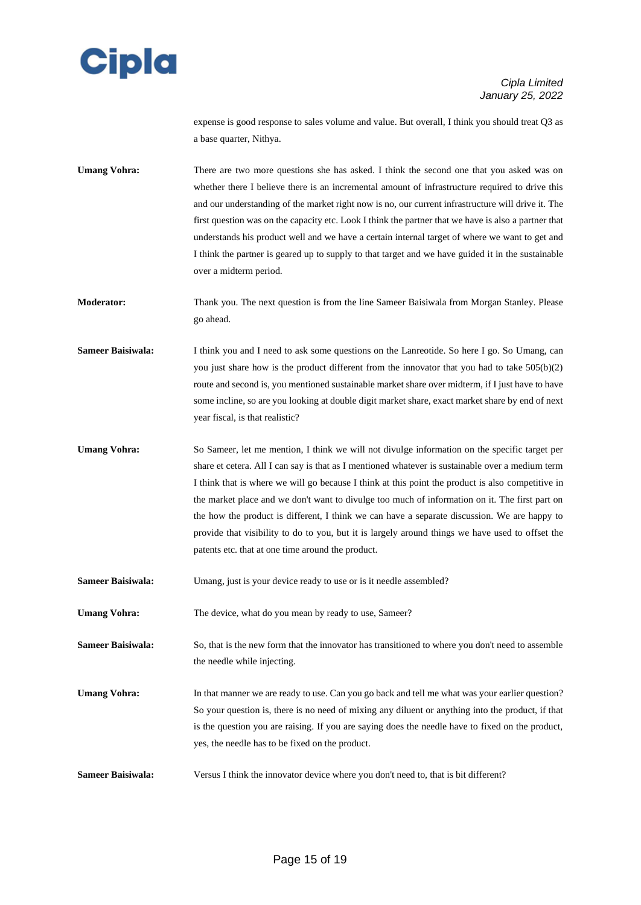

expense is good response to sales volume and value. But overall, I think you should treat Q3 as a base quarter, Nithya.

**Umang Vohra:** There are two more questions she has asked. I think the second one that you asked was on whether there I believe there is an incremental amount of infrastructure required to drive this and our understanding of the market right now is no, our current infrastructure will drive it. The first question was on the capacity etc. Look I think the partner that we have is also a partner that understands his product well and we have a certain internal target of where we want to get and I think the partner is geared up to supply to that target and we have guided it in the sustainable over a midterm period.

**Moderator:** Thank you. The next question is from the line Sameer Baisiwala from Morgan Stanley. Please go ahead.

**Sameer Baisiwala:** I think you and I need to ask some questions on the Lanreotide. So here I go. So Umang, can you just share how is the product different from the innovator that you had to take  $505(b)(2)$ route and second is, you mentioned sustainable market share over midterm, if I just have to have some incline, so are you looking at double digit market share, exact market share by end of next year fiscal, is that realistic?

**Umang Vohra:** So Sameer, let me mention, I think we will not divulge information on the specific target per share et cetera. All I can say is that as I mentioned whatever is sustainable over a medium term I think that is where we will go because I think at this point the product is also competitive in the market place and we don't want to divulge too much of information on it. The first part on the how the product is different, I think we can have a separate discussion. We are happy to provide that visibility to do to you, but it is largely around things we have used to offset the patents etc. that at one time around the product.

**Sameer Baisiwala:** Umang, just is your device ready to use or is it needle assembled?

Umang Vohra: The device, what do you mean by ready to use, Sameer?

**Sameer Baisiwala:** So, that is the new form that the innovator has transitioned to where you don't need to assemble the needle while injecting.

**Umang Vohra:** In that manner we are ready to use. Can you go back and tell me what was your earlier question? So your question is, there is no need of mixing any diluent or anything into the product, if that is the question you are raising. If you are saying does the needle have to fixed on the product, yes, the needle has to be fixed on the product.

**Sameer Baisiwala:** Versus I think the innovator device where you don't need to, that is bit different?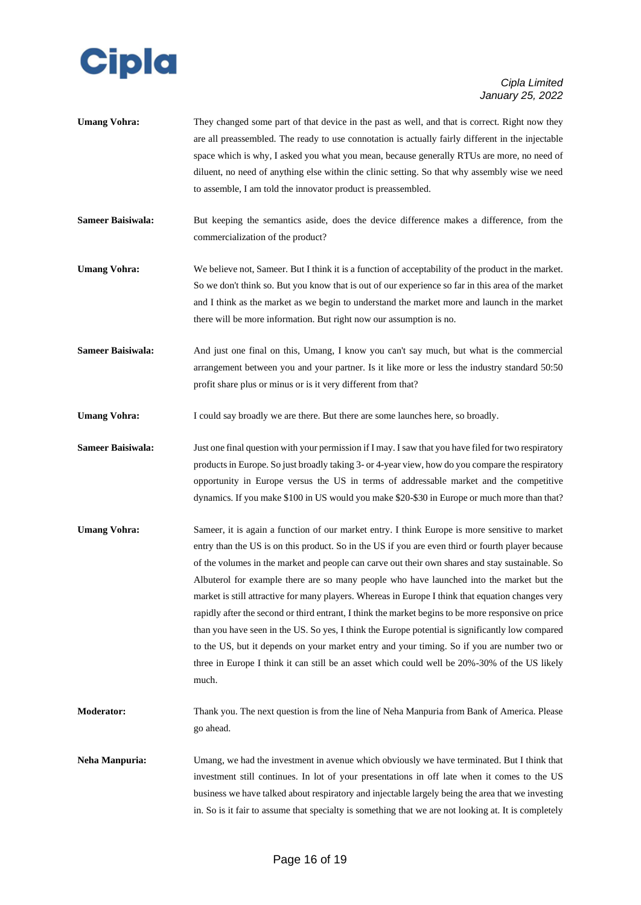

- Umang Vohra: They changed some part of that device in the past as well, and that is correct. Right now they are all preassembled. The ready to use connotation is actually fairly different in the injectable space which is why, I asked you what you mean, because generally RTUs are more, no need of diluent, no need of anything else within the clinic setting. So that why assembly wise we need to assemble, I am told the innovator product is preassembled.
- **Sameer Baisiwala:** But keeping the semantics aside, does the device difference makes a difference, from the commercialization of the product?
- **Umang Vohra:** We believe not, Sameer. But I think it is a function of acceptability of the product in the market. So we don't think so. But you know that is out of our experience so far in this area of the market and I think as the market as we begin to understand the market more and launch in the market there will be more information. But right now our assumption is no.
- **Sameer Baisiwala:** And just one final on this, Umang, I know you can't say much, but what is the commercial arrangement between you and your partner. Is it like more or less the industry standard 50:50 profit share plus or minus or is it very different from that?
- Umang Vohra: I could say broadly we are there. But there are some launches here, so broadly.

**Sameer Baisiwala:** Just one final question with your permission if I may. I saw that you have filed for two respiratory products in Europe. So just broadly taking 3- or 4-year view, how do you compare the respiratory opportunity in Europe versus the US in terms of addressable market and the competitive dynamics. If you make \$100 in US would you make \$20-\$30 in Europe or much more than that?

- **Umang Vohra:** Sameer, it is again a function of our market entry. I think Europe is more sensitive to market entry than the US is on this product. So in the US if you are even third or fourth player because of the volumes in the market and people can carve out their own shares and stay sustainable. So Albuterol for example there are so many people who have launched into the market but the market is still attractive for many players. Whereas in Europe I think that equation changes very rapidly after the second or third entrant, I think the market begins to be more responsive on price than you have seen in the US. So yes, I think the Europe potential is significantly low compared to the US, but it depends on your market entry and your timing. So if you are number two or three in Europe I think it can still be an asset which could well be 20%-30% of the US likely much.
- **Moderator:** Thank you. The next question is from the line of Neha Manpuria from Bank of America. Please go ahead.
- **Neha Manpuria:** Umang, we had the investment in avenue which obviously we have terminated. But I think that investment still continues. In lot of your presentations in off late when it comes to the US business we have talked about respiratory and injectable largely being the area that we investing in. So is it fair to assume that specialty is something that we are not looking at. It is completely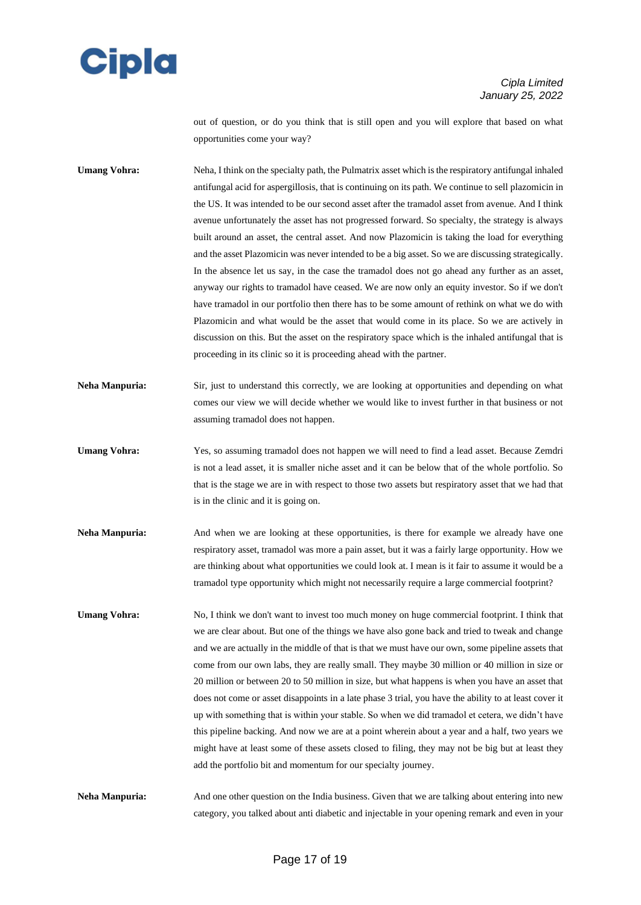

out of question, or do you think that is still open and you will explore that based on what opportunities come your way?

**Umang Vohra:** Neha, I think on the specialty path, the Pulmatrix asset which is the respiratory antifungal inhaled antifungal acid for aspergillosis, that is continuing on its path. We continue to sell plazomicin in the US. It was intended to be our second asset after the tramadol asset from avenue. And I think avenue unfortunately the asset has not progressed forward. So specialty, the strategy is always built around an asset, the central asset. And now Plazomicin is taking the load for everything and the asset Plazomicin was never intended to be a big asset. So we are discussing strategically. In the absence let us say, in the case the tramadol does not go ahead any further as an asset, anyway our rights to tramadol have ceased. We are now only an equity investor. So if we don't have tramadol in our portfolio then there has to be some amount of rethink on what we do with Plazomicin and what would be the asset that would come in its place. So we are actively in discussion on this. But the asset on the respiratory space which is the inhaled antifungal that is proceeding in its clinic so it is proceeding ahead with the partner.

- **Neha Manpuria:** Sir, just to understand this correctly, we are looking at opportunities and depending on what comes our view we will decide whether we would like to invest further in that business or not assuming tramadol does not happen.
- **Umang Vohra:** Yes, so assuming tramadol does not happen we will need to find a lead asset. Because Zemdri is not a lead asset, it is smaller niche asset and it can be below that of the whole portfolio. So that is the stage we are in with respect to those two assets but respiratory asset that we had that is in the clinic and it is going on.
- **Neha Manpuria:** And when we are looking at these opportunities, is there for example we already have one respiratory asset, tramadol was more a pain asset, but it was a fairly large opportunity. How we are thinking about what opportunities we could look at. I mean is it fair to assume it would be a tramadol type opportunity which might not necessarily require a large commercial footprint?
- **Umang Vohra:** No, I think we don't want to invest too much money on huge commercial footprint. I think that we are clear about. But one of the things we have also gone back and tried to tweak and change and we are actually in the middle of that is that we must have our own, some pipeline assets that come from our own labs, they are really small. They maybe 30 million or 40 million in size or 20 million or between 20 to 50 million in size, but what happens is when you have an asset that does not come or asset disappoints in a late phase 3 trial, you have the ability to at least cover it up with something that is within your stable. So when we did tramadol et cetera, we didn't have this pipeline backing. And now we are at a point wherein about a year and a half, two years we might have at least some of these assets closed to filing, they may not be big but at least they add the portfolio bit and momentum for our specialty journey.

**Neha Manpuria:** And one other question on the India business. Given that we are talking about entering into new category, you talked about anti diabetic and injectable in your opening remark and even in your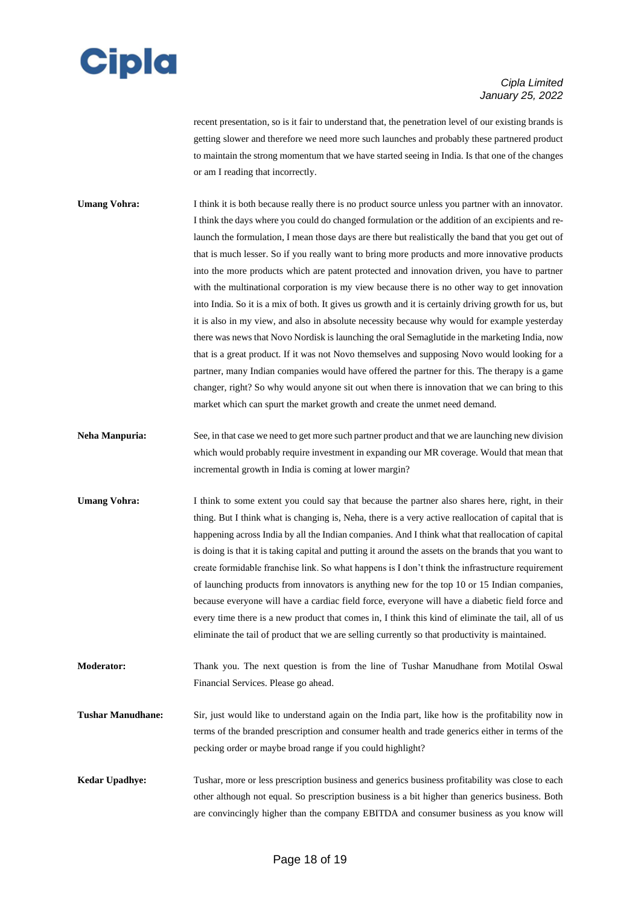## **Cipla**

### *Cipla Limited January 25, 2022*

recent presentation, so is it fair to understand that, the penetration level of our existing brands is getting slower and therefore we need more such launches and probably these partnered product to maintain the strong momentum that we have started seeing in India. Is that one of the changes or am I reading that incorrectly.

**Umang Vohra:** I think it is both because really there is no product source unless you partner with an innovator. I think the days where you could do changed formulation or the addition of an excipients and relaunch the formulation, I mean those days are there but realistically the band that you get out of that is much lesser. So if you really want to bring more products and more innovative products into the more products which are patent protected and innovation driven, you have to partner with the multinational corporation is my view because there is no other way to get innovation into India. So it is a mix of both. It gives us growth and it is certainly driving growth for us, but it is also in my view, and also in absolute necessity because why would for example yesterday there was news that Novo Nordisk is launching the oral Semaglutide in the marketing India, now that is a great product. If it was not Novo themselves and supposing Novo would looking for a partner, many Indian companies would have offered the partner for this. The therapy is a game changer, right? So why would anyone sit out when there is innovation that we can bring to this market which can spurt the market growth and create the unmet need demand.

- **Neha Manpuria:** See, in that case we need to get more such partner product and that we are launching new division which would probably require investment in expanding our MR coverage. Would that mean that incremental growth in India is coming at lower margin?
- **Umang Vohra:** I think to some extent you could say that because the partner also shares here, right, in their thing. But I think what is changing is, Neha, there is a very active reallocation of capital that is happening across India by all the Indian companies. And I think what that reallocation of capital is doing is that it is taking capital and putting it around the assets on the brands that you want to create formidable franchise link. So what happens is I don't think the infrastructure requirement of launching products from innovators is anything new for the top 10 or 15 Indian companies, because everyone will have a cardiac field force, everyone will have a diabetic field force and every time there is a new product that comes in, I think this kind of eliminate the tail, all of us eliminate the tail of product that we are selling currently so that productivity is maintained.
- **Moderator:** Thank you. The next question is from the line of Tushar Manudhane from Motilal Oswal Financial Services. Please go ahead.
- **Tushar Manudhane:** Sir, just would like to understand again on the India part, like how is the profitability now in terms of the branded prescription and consumer health and trade generics either in terms of the pecking order or maybe broad range if you could highlight?
- **Kedar Upadhye:** Tushar, more or less prescription business and generics business profitability was close to each other although not equal. So prescription business is a bit higher than generics business. Both are convincingly higher than the company EBITDA and consumer business as you know will